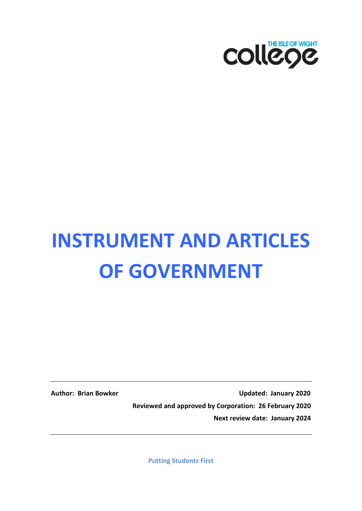

# **INSTRUMENT AND ARTICLES OF GOVERNMENT**

Author: Brian Bowker **New York Controller Service 2020** 

**Reviewed and approved by Corporation: 26 February 2020**

**Next review date: January 2024**

**Putting Students First**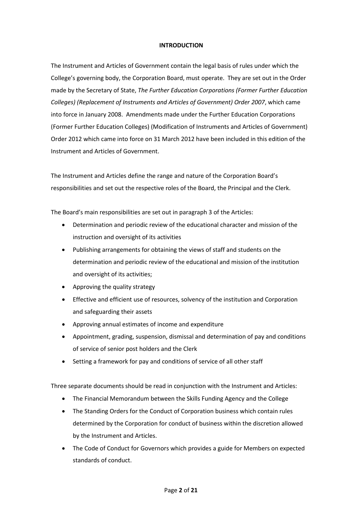#### **INTRODUCTION**

The Instrument and Articles of Government contain the legal basis of rules under which the College's governing body, the Corporation Board, must operate. They are set out in the Order made by the Secretary of State, *The Further Education Corporations (Former Further Education Colleges) (Replacement of Instruments and Articles of Government) Order 2007*, which came into force in January 2008. Amendments made under the Further Education Corporations (Former Further Education Colleges) (Modification of Instruments and Articles of Government) Order 2012 which came into force on 31 March 2012 have been included in this edition of the Instrument and Articles of Government.

The Instrument and Articles define the range and nature of the Corporation Board's responsibilities and set out the respective roles of the Board, the Principal and the Clerk.

The Board's main responsibilities are set out in paragraph 3 of the Articles:

- Determination and periodic review of the educational character and mission of the instruction and oversight of its activities
- Publishing arrangements for obtaining the views of staff and students on the determination and periodic review of the educational and mission of the institution and oversight of its activities;
- Approving the quality strategy
- Effective and efficient use of resources, solvency of the institution and Corporation and safeguarding their assets
- Approving annual estimates of income and expenditure
- Appointment, grading, suspension, dismissal and determination of pay and conditions of service of senior post holders and the Clerk
- Setting a framework for pay and conditions of service of all other staff

Three separate documents should be read in conjunction with the Instrument and Articles:

- The Financial Memorandum between the Skills Funding Agency and the College
- The Standing Orders for the Conduct of Corporation business which contain rules determined by the Corporation for conduct of business within the discretion allowed by the Instrument and Articles.
- The Code of Conduct for Governors which provides a guide for Members on expected standards of conduct.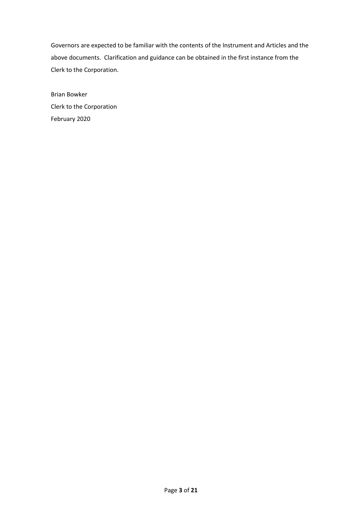Governors are expected to be familiar with the contents of the Instrument and Articles and the above documents. Clarification and guidance can be obtained in the first instance from the Clerk to the Corporation.

Brian Bowker Clerk to the Corporation February 2020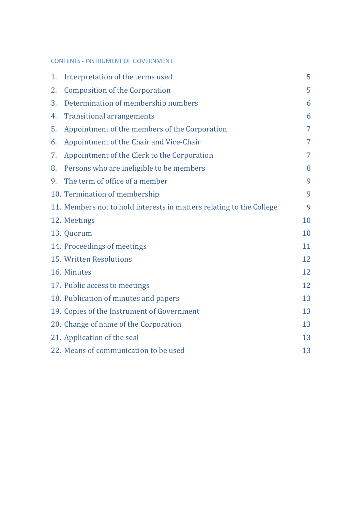#### CONTENTS - INSTRUMENT OF GOVERNMENT

| 1. | Interpretation of the terms used                                     | 5              |
|----|----------------------------------------------------------------------|----------------|
| 2. | <b>Composition of the Corporation</b>                                | 5              |
| 3. | Determination of membership numbers                                  | 6              |
| 4. | <b>Transitional arrangements</b>                                     | 6              |
| 5. | Appointment of the members of the Corporation                        | $\overline{7}$ |
| 6. | Appointment of the Chair and Vice-Chair                              | 7              |
| 7. | Appointment of the Clerk to the Corporation                          | 7              |
| 8. | Persons who are ineligible to be members                             | 8              |
| 9. | The term of office of a member                                       | 9              |
|    | 10. Termination of membership                                        | 9              |
|    | 11. Members not to hold interests in matters relating to the College | 9              |
|    | 12. Meetings                                                         | 10             |
|    | 13. Quorum                                                           | 10             |
|    | 14. Proceedings of meetings                                          | 11             |
|    | 15. Written Resolutions                                              | 12             |
|    | 16. Minutes                                                          | 12             |
|    | 17. Public access to meetings                                        | 12             |
|    | 18. Publication of minutes and papers                                | 13             |
|    | 19. Copies of the Instrument of Government                           | 13             |
|    | 20. Change of name of the Corporation                                | 13             |
|    | 21. Application of the seal                                          | 13             |
|    | 22. Means of communication to be used                                | 13             |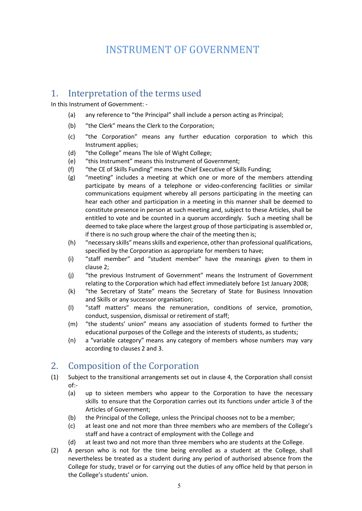## INSTRUMENT OF GOVERNMENT

#### <span id="page-4-0"></span>1. Interpretation of the terms used

In this Instrument of Government: -

- (a) any reference to "the Principal" shall include a person acting as Principal;
- (b) "the Clerk" means the Clerk to the Corporation;
- (c) "the Corporation" means any further education corporation to which this Instrument applies;
- (d) "the College" means The Isle of Wight College;
- (e) "this Instrument" means this Instrument of Government;
- (f) "the CE of Skills Funding" means the Chief Executive of Skills Funding;
- (g) "meeting" includes a meeting at which one or more of the members attending participate by means of a telephone or video-conferencing facilities or similar communications equipment whereby all persons participating in the meeting can hear each other and participation in a meeting in this manner shall be deemed to constitute presence in person at such meeting and, subject to these Articles, shall be entitled to vote and be counted in a quorum accordingly. Such a meeting shall be deemed to take place where the largest group of those participating is assembled or, if there is no such group where the chair of the meeting then is;
- (h) "necessary skills" meansskills and experience, other than professional qualifications, specified by the Corporation as appropriate for members to have;
- (i) "staff member" and "student member" have the meanings given to them in clause 2;
- (j) "the previous Instrument of Government" means the Instrument of Government relating to the Corporation which had effect immediately before 1st January 2008;
- (k) "the Secretary of State" means the Secretary of State for Business Innovation and Skills or any successor organisation;
- (l) "staff matters" means the remuneration, conditions of service, promotion, conduct, suspension, dismissal or retirement of staff;
- (m) "the students' union" means any association of students formed to further the educational purposes of the College and the interests of students, as students;
- (n) a "variable category" means any category of members whose numbers may vary according to clauses 2 and 3.

# <span id="page-4-1"></span>2. Composition of the Corporation<br>(1) Subject to the transitional arrangements set out

- Subject to the transitional arrangements set out in clause 4, the Corporation shall consist of:-
	- (a) up to sixteen members who appear to the Corporation to have the necessary skills to ensure that the Corporation carries out its functions under article 3 of the Articles of Government;
	- (b) the Principal of the College, unless the Principal chooses not to be a member;
	- (c) at least one and not more than three members who are members of the College's staff and have a contract of employment with the College and
	- (d) at least two and not more than three members who are students at the College.
- (2) A person who is not for the time being enrolled as a student at the College, shall nevertheless be treated as a student during any period of authorised absence from the College for study, travel or for carrying out the duties of any office held by that person in the College's students' union.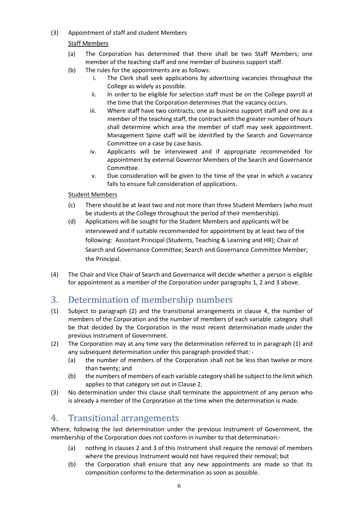(3) Appointment of staff and student Members

#### Staff Members

- (a) The Corporation has determined that there shall be two Staff Members; one member of the teaching staff and one member of business support staff.
- (b) The rules for the appointments are as follows:
	- i. The Clerk shall seek applications by advertising vacancies throughout the College as widely as possible.
	- ii. In order to be eligible for selection staff must be on the College payroll at the time that the Corporation determines that the vacancy occurs.
	- iii. Where staff have two contracts; one as business support staff and one as a member of the teaching staff, the contract with the greater number of hours shall determine which area the member of staff may seek appointment. Management Spine staff will be identified by the Search and Governance Committee on a case by case basis.
	- iv. Applicants will be interviewed and if appropriate recommended for appointment by external Governor Members of the Search and Governance Committee.
	- v. Due consideration will be given to the time of the year in which a vacancy falls to ensure full consideration of applications.

#### Student Members

- (c) There should be at least two and not more than three Student Members (who must be students at the College throughout the period of their membership).
- (d) Applications will be sought for the Student Members and applicants will be interviewed and if suitable recommended for appointment by at least two of the following: Assistant Principal (Students, Teaching & Learning and HR); Chair of Search and Governance Committee; Search and Governance Committee Member; the Principal.
- (4) The Chair and Vice Chair of Search and Governance will decide whether a person is eligible for appointment as a member of the Corporation under paragraphs 1, 2 and 3 above.

# <span id="page-5-0"></span>3. Determination of membership numbers<br>(1) Subject to paragraph (2) and the transitional arrangements

- Subject to paragraph (2) and the transitional arrangements in clause 4, the number of members of the Corporation and the number of members of each variable category shall be that decided by the Corporation in the most recent determination made under the previous Instrument of Government.
- (2) The Corporation may at any time vary the determination referred to in paragraph (1) and any subsequent determination under this paragraph provided that: -
	- (a) the number of members of the Corporation shall not be less than twelve or more than twenty; and
	- (b) the numbers of members of each variable category shall be subject to the limit which applies to that category set out in Clause 2.
- (3) No determination under this clause shall terminate the appointment of any person who is already a member of the Corporation at the time when the determination is made.

#### <span id="page-5-1"></span>4. Transitional arrangements

Where, following the last determination under the previous Instrument of Government, the membership of the Corporation does not conform in number to that determination:-

- (a) nothing in clauses 2 and 3 of this Instrument shall require the removal of members where the previous Instrument would not have required their removal; but
- (b) the Corporation shall ensure that any new appointments are made so that its composition conforms to the determination as soon as possible.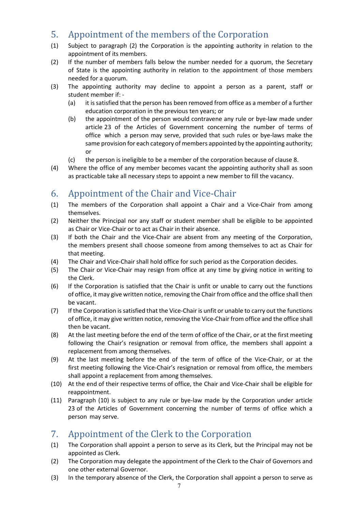# <span id="page-6-0"></span>5. Appointment of the members of the Corporation<br>(1) Subject to paragraph (2) the Corporation is the appointing authority in

- Subject to paragraph (2) the Corporation is the appointing authority in relation to the appointment of its members.
- (2) If the number of members falls below the number needed for a quorum, the Secretary of State is the appointing authority in relation to the appointment of those members needed for a quorum.
- (3) The appointing authority may decline to appoint a person as a parent, staff or student member if: -
	- (a) it is satisfied that the person has been removed from office as a member of a further education corporation in the previous ten years; or
	- (b) the appointment of the person would contravene any rule or bye-law made under article 23 of the Articles of Government concerning the number of terms of office which a person may serve, provided that such rules or bye-laws make the same provision for each category of members appointed by the appointing authority; or
	- (c) the person is ineligible to be a member of the corporation because of clause 8.
- (4) Where the office of any member becomes vacant the appointing authority shall as soon as practicable take all necessary steps to appoint a new member to fill the vacancy.

#### <span id="page-6-1"></span>6. Appointment of the Chair and Vice-Chair

- (1) The members of the Corporation shall appoint a Chair and a Vice-Chair from among themselves.
- (2) Neither the Principal nor any staff or student member shall be eligible to be appointed as Chair or Vice-Chair or to act as Chair in their absence.
- (3) If both the Chair and the Vice-Chair are absent from any meeting of the Corporation, the members present shall choose someone from among themselves to act as Chair for that meeting.
- (4) The Chair and Vice-Chair shall hold office for such period as the Corporation decides.
- (5) The Chair or Vice-Chair may resign from office at any time by giving notice in writing to the Clerk.
- (6) If the Corporation is satisfied that the Chair is unfit or unable to carry out the functions of office, it may give written notice, removing the Chair from office and the office shall then be vacant.
- (7) If the Corporation issatisfied that the Vice-Chair is unfit or unable to carry out the functions of office, it may give written notice, removing the Vice-Chair from office and the office shall then be vacant.
- (8) At the last meeting before the end of the term of office of the Chair, or at the first meeting following the Chair's resignation or removal from office, the members shall appoint a replacement from among themselves.
- (9) At the last meeting before the end of the term of office of the Vice-Chair, or at the first meeting following the Vice-Chair's resignation or removal from office, the members shall appoint a replacement from among themselves.
- (10) At the end of their respective terms of office, the Chair and Vice-Chair shall be eligible for reappointment.
- (11) Paragraph (10) is subject to any rule or bye-law made by the Corporation under article 23 of the Articles of Government concerning the number of terms of office which a person may serve.

#### <span id="page-6-2"></span>7. Appointment of the Clerk to the Corporation

- (1) The Corporation shall appoint a person to serve as its Clerk, but the Principal may not be appointed as Clerk.
- (2) The Corporation may delegate the appointment of the Clerk to the Chair of Governors and one other external Governor.
- (3) In the temporary absence of the Clerk, the Corporation shall appoint a person to serve as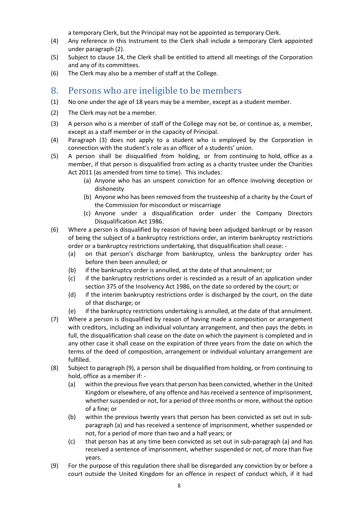a temporary Clerk, but the Principal may not be appointed as temporary Clerk.

- (4) Any reference in this Instrument to the Clerk shall include a temporary Clerk appointed under paragraph (2).
- (5) Subject to clause 14, the Clerk shall be entitled to attend all meetings of the Corporation and any of its committees.
- (6) The Clerk may also be a member of staff at the College.

#### <span id="page-7-0"></span>8. Persons who are ineligible to be members

- (1) No one under the age of 18 years may be a member, except as a student member.
- (2) The Clerk may not be a member.
- (3) A person who is a member of staff of the College may not be, or continue as, a member, except as a staff member or in the capacity of Principal.
- (4) Paragraph (3) does not apply to a student who is employed by the Corporation in connection with the student's role as an officer of a students' union.
- (5) A person shall be disqualified from holding, or from continuing to hold, office as a member, if that person is disqualified from acting as a charity trustee under the Charities Act 2011 (as amended from time to time). This includes:
	- (a) Anyone who has an unspent conviction for an offence involving deception or dishonesty
	- (b) Anyone who has been removed from the trusteeship of a charity by the Court of the Commission for misconduct or miscarriage
	- (c) Anyone under a disqualification order under the Company Directors Disqualification Act 1986.
- (6) Where a person is disqualified by reason of having been adjudged bankrupt or by reason of being the subject of a bankruptcy restrictions order, an interim bankruptcy restrictions order or a bankruptcy restrictions undertaking, that disqualification shall cease: -
	- (a) on that person's discharge from bankruptcy, unless the bankruptcy order has before then been annulled; or
	- (b) if the bankruptcy order is annulled, at the date of that annulment; or
	- (c) if the bankruptcy restrictions order is rescinded as a result of an application under section 375 of the Insolvency Act 1986, on the date so ordered by the court; or
	- (d) if the interim bankruptcy restrictions order is discharged by the court, on the date of that discharge; or
	- (e) if the bankruptcy restrictions undertaking is annulled, at the date of that annulment.
- (7) Where a person is disqualified by reason of having made a composition or arrangement with creditors, including an individual voluntary arrangement, and then pays the debts in full, the disqualification shall cease on the date on which the payment is completed and in any other case it shall cease on the expiration of three years from the date on which the terms of the deed of composition, arrangement or individual voluntary arrangement are fulfilled.
- (8) Subject to paragraph (9), a person shall be disqualified from holding, or from continuing to hold, office as a member if: -
	- (a) within the previous five years that person has been convicted, whether in the United Kingdom or elsewhere, of any offence and has received a sentence of imprisonment, whether suspended or not, for a period of three months or more, without the option of a fine; or
	- (b) within the previous twenty years that person has been convicted as set out in subparagraph (a) and has received a sentence of imprisonment, whether suspended or not, for a period of more than two and a half years; or
	- (c) that person has at any time been convicted as set out in sub-paragraph (a) and has received a sentence of imprisonment, whether suspended or not, of more than five years.
- (9) For the purpose of this regulation there shall be disregarded any conviction by or before a court outside the United Kingdom for an offence in respect of conduct which, if it had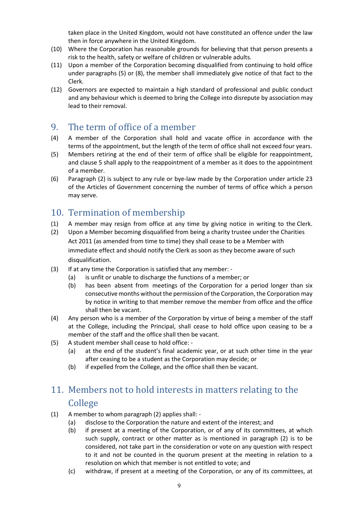taken place in the United Kingdom, would not have constituted an offence under the law then in force anywhere in the United Kingdom.

- (10) Where the Corporation has reasonable grounds for believing that that person presents a risk to the health, safety or welfare of children or vulnerable adults.
- (11) Upon a member of the Corporation becoming disqualified from continuing to hold office under paragraphs (5) or (8), the member shall immediately give notice of that fact to the Clerk.
- (12) Governors are expected to maintain a high standard of professional and public conduct and any behaviour which is deemed to bring the College into disrepute by association may lead to their removal.

# <span id="page-8-0"></span>9. The term of office of a member<br>(4) A member of the Corporation shall hold are

- (4) A member of the Corporation shall hold and vacate office in accordance with the terms of the appointment, but the length of the term of office shall not exceed four years.
- (5) Members retiring at the end of their term of office shall be eligible for reappointment, and clause 5 shall apply to the reappointment of a member as it does to the appointment of a member.
- (6) Paragraph (2) is subject to any rule or bye-law made by the Corporation under article 23 of the Articles of Government concerning the number of terms of office which a person may serve.

# <span id="page-8-1"></span>10. Termination of membership<br>(1) A member may resign from office at any

- A member may resign from office at any time by giving notice in writing to the Clerk.
- (2) Upon a Member becoming disqualified from being a charity trustee under the Charities Act 2011 (as amended from time to time) they shall cease to be a Member with immediate effect and should notify the Clerk as soon as they become aware of such disqualification.
- (3) If at any time the Corporation is satisfied that any member:
	- (a) is unfit or unable to discharge the functions of a member; or
	- (b) has been absent from meetings of the Corporation for a period longer than six consecutive months without the permission of the Corporation, the Corporation may by notice in writing to that member remove the member from office and the office shall then be vacant.
- (4) Any person who is a member of the Corporation by virtue of being a member of the staff at the College, including the Principal, shall cease to hold office upon ceasing to be a member of the staff and the office shall then be vacant.
- (5) A student member shall cease to hold office:
	- (a) at the end of the student's final academic year, or at such other time in the year after ceasing to be a student as the Corporation may decide; or
	- (b) if expelled from the College, and the office shall then be vacant.

### <span id="page-8-2"></span>11. Members not to hold interests in matters relating to the College

- (1) A member to whom paragraph (2) applies shall:
	- (a) disclose to the Corporation the nature and extent of the interest; and
	- (b) if present at a meeting of the Corporation, or of any of its committees, at which such supply, contract or other matter as is mentioned in paragraph (2) is to be considered, not take part in the consideration or vote on any question with respect to it and not be counted in the quorum present at the meeting in relation to a resolution on which that member is not entitled to vote; and
	- (c) withdraw, if present at a meeting of the Corporation, or any of its committees, at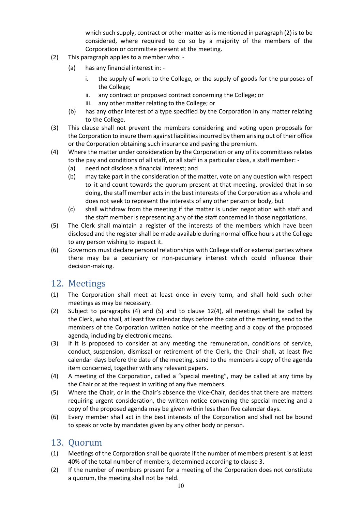which such supply, contract or other matter as is mentioned in paragraph (2) is to be considered, where required to do so by a majority of the members of the Corporation or committee present at the meeting.

- (2) This paragraph applies to a member who:
	- (a) has any financial interest in:
		- i. the supply of work to the College, or the supply of goods for the purposes of the College;
		- ii. any contract or proposed contract concerning the College; or
		- iii. any other matter relating to the College; or
	- (b) has any other interest of a type specified by the Corporation in any matter relating to the College.
- (3) This clause shall not prevent the members considering and voting upon proposals for the Corporation to insure them against liabilities incurred by them arising out of their office or the Corporation obtaining such insurance and paying the premium.
- (4) Where the matter under consideration by the Corporation or any of its committees relates to the pay and conditions of all staff, or all staff in a particular class, a staff member: -
	- (a) need not disclose a financial interest; and
	- (b) may take part in the consideration of the matter, vote on any question with respect to it and count towards the quorum present at that meeting, provided that in so doing, the staff member acts in the best interests of the Corporation as a whole and does not seek to represent the interests of any other person or body, but
	- (c) shall withdraw from the meeting if the matter is under negotiation with staff and the staff member is representing any of the staff concerned in those negotiations.
- (5) The Clerk shall maintain a register of the interests of the members which have been disclosed and the registershall be made available during normal office hours at the College to any person wishing to inspect it.
- (6) Governors must declare personal relationships with College staff or external parties where there may be a pecuniary or non-pecuniary interest which could influence their decision-making.

# <span id="page-9-0"></span>12. Meetings<br>(1) The Corporati

- The Corporation shall meet at least once in every term, and shall hold such other meetings as may be necessary.
- (2) Subject to paragraphs (4) and (5) and to clause 12(4), all meetings shall be called by the Clerk, who shall, at least five calendar days before the date of the meeting, send to the members of the Corporation written notice of the meeting and a copy of the proposed agenda, including by electronic means.
- (3) If it is proposed to consider at any meeting the remuneration, conditions of service, conduct, suspension, dismissal or retirement of the Clerk, the Chair shall, at least five calendar days before the date of the meeting, send to the members a copy of the agenda item concerned, together with any relevant papers.
- (4) A meeting of the Corporation, called a "special meeting", may be called at any time by the Chair or at the request in writing of any five members.
- (5) Where the Chair, or in the Chair's absence the Vice-Chair, decides that there are matters requiring urgent consideration, the written notice convening the special meeting and a copy of the proposed agenda may be given within less than five calendar days.
- (6) Every member shall act in the best interests of the Corporation and shall not be bound to speak or vote by mandates given by any other body or person.

#### <span id="page-9-1"></span>13. Quorum

- (1) Meetings of the Corporation shall be quorate if the number of members present is at least 40% of the total number of members, determined according to clause 3.
- (2) If the number of members present for a meeting of the Corporation does not constitute a quorum, the meeting shall not be held.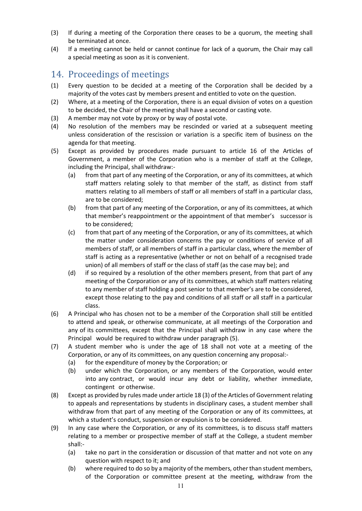- (3) If during a meeting of the Corporation there ceases to be a quorum, the meeting shall be terminated at once.
- (4) If a meeting cannot be held or cannot continue for lack of a quorum, the Chair may call a special meeting as soon as it is convenient.

# <span id="page-10-0"></span>14. Proceedings of meetings<br>(1) Every question to be decided at a

- Every question to be decided at a meeting of the Corporation shall be decided by a majority of the votes cast by members present and entitled to vote on the question.
- (2) Where, at a meeting of the Corporation, there is an equal division of votes on a question to be decided, the Chair of the meeting shall have a second or casting vote.
- (3) A member may not vote by proxy or by way of postal vote.
- (4) No resolution of the members may be rescinded or varied at a subsequent meeting unless consideration of the rescission or variation is a specific item of business on the agenda for that meeting.
- (5) Except as provided by procedures made pursuant to article 16 of the Articles of Government, a member of the Corporation who is a member of staff at the College, including the Principal, shall withdraw:-
	- (a) from that part of any meeting of the Corporation, or any of its committees, at which staff matters relating solely to that member of the staff, as distinct from staff matters relating to all members of staff or all members of staff in a particular class, are to be considered;
	- (b) from that part of any meeting of the Corporation, or any of its committees, at which that member's reappointment or the appointment of that member's successor is to be considered;
	- (c) from that part of any meeting of the Corporation, or any of its committees, at which the matter under consideration concerns the pay or conditions of service of all members of staff, or all members of staff in a particular class, where the member of staff is acting as a representative (whether or not on behalf of a recognised trade union) of all members of staff or the class of staff (as the case may be); and
	- (d) if so required by a resolution of the other members present, from that part of any meeting of the Corporation or any of its committees, at which staff matters relating to any member of staff holding a post senior to that member's are to be considered, except those relating to the pay and conditions of all staff or all staff in a particular class.
- (6) A Principal who has chosen not to be a member of the Corporation shall still be entitled to attend and speak, or otherwise communicate, at all meetings of the Corporation and any of its committees, except that the Principal shall withdraw in any case where the Principal would be required to withdraw under paragraph (5).
- (7) A student member who is under the age of 18 shall not vote at a meeting of the Corporation, or any of its committees, on any question concerning any proposal:-
	- (a) for the expenditure of money by the Corporation; or
	- (b) under which the Corporation, or any members of the Corporation, would enter into any contract, or would incur any debt or liability, whether immediate, contingent or otherwise.
- (8) Except as provided by rules made under article 18 (3) of the Articles of Government relating to appeals and representations by students in disciplinary cases, a student member shall withdraw from that part of any meeting of the Corporation or any of its committees, at which a student's conduct, suspension or expulsion is to be considered.
- (9) In any case where the Corporation, or any of its committees, is to discuss staff matters relating to a member or prospective member of staff at the College, a student member shall:-
	- (a) take no part in the consideration or discussion of that matter and not vote on any question with respect to it; and
	- (b) where required to do so by a majority of the members, otherthan student members, of the Corporation or committee present at the meeting, withdraw from the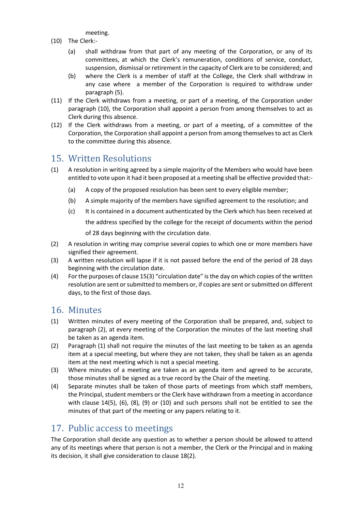meeting.

- (10) The Clerk:-
	- (a) shall withdraw from that part of any meeting of the Corporation, or any of its committees, at which the Clerk's remuneration, conditions of service, conduct, suspension, dismissal or retirement in the capacity of Clerk are to be considered; and
	- (b) where the Clerk is a member of staff at the College, the Clerk shall withdraw in any case where a member of the Corporation is required to withdraw under paragraph (5).
- (11) If the Clerk withdraws from a meeting, or part of a meeting, of the Corporation under paragraph (10), the Corporation shall appoint a person from among themselves to act as Clerk during this absence.
- (12) If the Clerk withdraws from a meeting, or part of a meeting, of a committee of the Corporation, the Corporation shall appoint a person from among themselvesto act as Clerk to the committee during this absence.

#### <span id="page-11-0"></span>15. Written Resolutions

- (1) A resolution in writing agreed by a simple majority of the Members who would have been entitled to vote upon it had it been proposed at a meeting shall be effective provided that:-
	- (a) A copy of the proposed resolution has been sent to every eligible member;
	- (b) A simple majority of the members have signified agreement to the resolution; and
	- (c) It is contained in a document authenticated by the Clerk which has been received at the address specified by the college for the receipt of documents within the period of 28 days beginning with the circulation date.
- (2) A resolution in writing may comprise several copies to which one or more members have signified their agreement.
- (3) A written resolution will lapse if it is not passed before the end of the period of 28 days beginning with the circulation date.
- (4) For the purposes of clause 15(3) "circulation date" is the day on which copies of the written resolution are sent or submitted to members or, if copies are sent or submitted on different days, to the first of those days.

#### <span id="page-11-1"></span>16. Minutes

- (1) Written minutes of every meeting of the Corporation shall be prepared, and, subject to paragraph (2), at every meeting of the Corporation the minutes of the last meeting shall be taken as an agenda item.
- (2) Paragraph (1) shall not require the minutes of the last meeting to be taken as an agenda item at a special meeting, but where they are not taken, they shall be taken as an agenda item at the next meeting which is not a special meeting.
- (3) Where minutes of a meeting are taken as an agenda item and agreed to be accurate, those minutes shall be signed as a true record by the Chair of the meeting.
- (4) Separate minutes shall be taken of those parts of meetings from which staff members, the Principal, student members or the Clerk have withdrawn from a meeting in accordance with clause 14(5), (6), (8), (9) or (10) and such persons shall not be entitled to see the minutes of that part of the meeting or any papers relating to it.

#### <span id="page-11-2"></span>17. Public access to meetings

The Corporation shall decide any question as to whether a person should be allowed to attend any of its meetings where that person is not a member, the Clerk or the Principal and in making its decision, it shall give consideration to clause 18(2).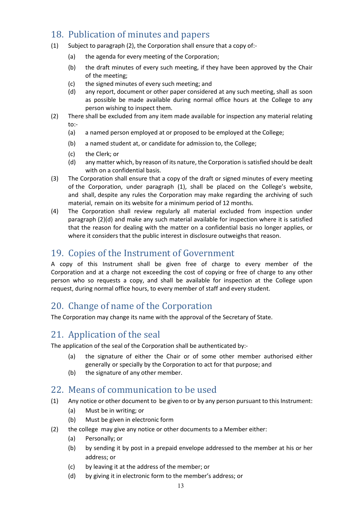# <span id="page-12-0"></span>18. Publication of minutes and papers<br>(1) Subject to paragraph (2), the Corporation shall ensure

- Subject to paragraph (2), the Corporation shall ensure that a copy of:-
	- (a) the agenda for every meeting of the Corporation;
	- (b) the draft minutes of every such meeting, if they have been approved by the Chair of the meeting;
	- (c) the signed minutes of every such meeting; and
	- (d) any report, document or other paper considered at any such meeting, shall as soon as possible be made available during normal office hours at the College to any person wishing to inspect them.
- (2) There shall be excluded from any item made available for inspection any material relating to:-
	- (a) a named person employed at or proposed to be employed at the College;
	- (b) a named student at, or candidate for admission to, the College;
	- (c) the Clerk; or
	- (d) any matter which, by reason of its nature, the Corporation issatisfied should be dealt with on a confidential basis.
- (3) The Corporation shall ensure that a copy of the draft or signed minutes of every meeting of the Corporation, under paragraph (1), shall be placed on the College's website, and shall, despite any rules the Corporation may make regarding the archiving of such material, remain on its website for a minimum period of 12 months.
- (4) The Corporation shall review regularly all material excluded from inspection under paragraph (2)(d) and make any such material available for inspection where it is satisfied that the reason for dealing with the matter on a confidential basis no longer applies, or where it considers that the public interest in disclosure outweighs that reason.

#### <span id="page-12-1"></span>19. Copies of the Instrument of Government

A copy of this Instrument shall be given free of charge to every member of the Corporation and at a charge not exceeding the cost of copying or free of charge to any other person who so requests a copy, and shall be available for inspection at the College upon request, during normal office hours, to every member of staff and every student.

#### <span id="page-12-2"></span>20. Change of name of the Corporation

The Corporation may change its name with the approval of the Secretary of State.

### <span id="page-12-3"></span>21. Application of the seal

The application of the seal of the Corporation shall be authenticated by:-

- (a) the signature of either the Chair or of some other member authorised either generally or specially by the Corporation to act for that purpose; and
- (b) the signature of any other member.

#### <span id="page-12-4"></span>22. Means of communication to be used

- (1) Any notice or other document to be given to or by any person pursuant to this Instrument:
	- (a) Must be in writing; or
	- (b) Must be given in electronic form
- (2) the college may give any notice or other documents to a Member either:
	- (a) Personally; or
	- (b) by sending it by post in a prepaid envelope addressed to the member at his or her address; or
	- (c) by leaving it at the address of the member; or
	- (d) by giving it in electronic form to the member's address; or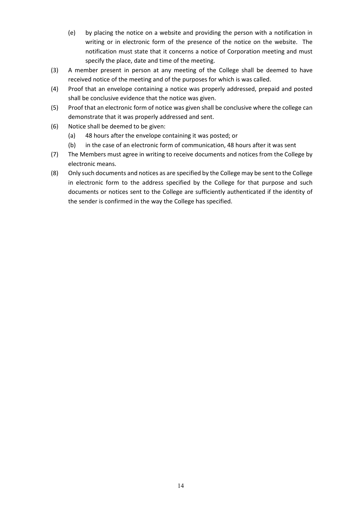- (e) by placing the notice on a website and providing the person with a notification in writing or in electronic form of the presence of the notice on the website. The notification must state that it concerns a notice of Corporation meeting and must specify the place, date and time of the meeting.
- (3) A member present in person at any meeting of the College shall be deemed to have received notice of the meeting and of the purposes for which is was called.
- (4) Proof that an envelope containing a notice was properly addressed, prepaid and posted shall be conclusive evidence that the notice was given.
- (5) Proof that an electronic form of notice was given shall be conclusive where the college can demonstrate that it was properly addressed and sent.
- (6) Notice shall be deemed to be given:
	- (a) 48 hours after the envelope containing it was posted; or
	- (b) in the case of an electronic form of communication, 48 hours after it was sent
- (7) The Members must agree in writing to receive documents and notices from the College by electronic means.
- (8) Only such documents and notices as are specified by the College may be sent to the College in electronic form to the address specified by the College for that purpose and such documents or notices sent to the College are sufficiently authenticated if the identity of the sender is confirmed in the way the College has specified.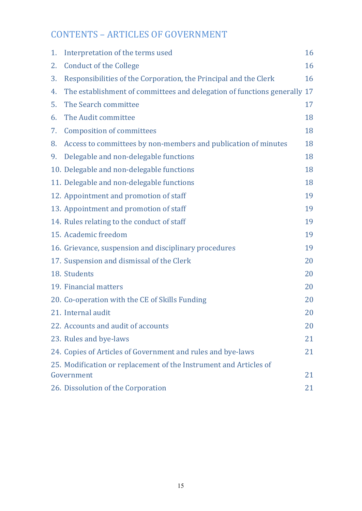# CONTENTS – ARTICLES OF GOVERNMENT

| 1. | Interpretation of the terms used                                                | 16 |
|----|---------------------------------------------------------------------------------|----|
| 2. | <b>Conduct of the College</b>                                                   | 16 |
| 3. | Responsibilities of the Corporation, the Principal and the Clerk                | 16 |
| 4. | The establishment of committees and delegation of functions generally 17        |    |
| 5. | The Search committee                                                            | 17 |
| 6. | The Audit committee                                                             | 18 |
| 7. | <b>Composition of committees</b>                                                | 18 |
| 8. | Access to committees by non-members and publication of minutes                  | 18 |
| 9. | Delegable and non-delegable functions                                           | 18 |
|    | 10. Delegable and non-delegable functions                                       | 18 |
|    | 11. Delegable and non-delegable functions                                       | 18 |
|    | 12. Appointment and promotion of staff                                          | 19 |
|    | 13. Appointment and promotion of staff                                          | 19 |
|    | 14. Rules relating to the conduct of staff                                      | 19 |
|    | 15. Academic freedom                                                            | 19 |
|    | 16. Grievance, suspension and disciplinary procedures                           | 19 |
|    | 17. Suspension and dismissal of the Clerk                                       | 20 |
|    | 18. Students                                                                    | 20 |
|    | 19. Financial matters                                                           | 20 |
|    | 20. Co-operation with the CE of Skills Funding                                  | 20 |
|    | 21. Internal audit                                                              | 20 |
|    | 22. Accounts and audit of accounts                                              | 20 |
|    | 23. Rules and bye-laws                                                          | 21 |
|    | 24. Copies of Articles of Government and rules and bye-laws                     | 21 |
|    | 25. Modification or replacement of the Instrument and Articles of<br>Government | 21 |
|    | 26. Dissolution of the Corporation                                              | 21 |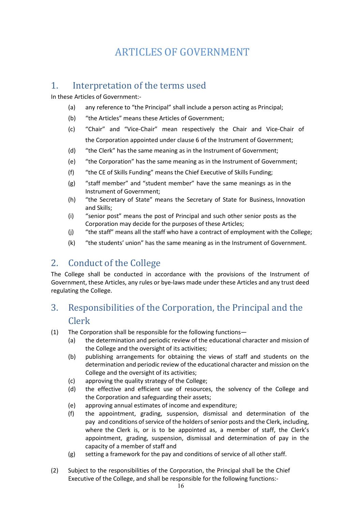# ARTICLES OF GOVERNMENT

#### 1. Interpretation of the terms used

In these Articles of Government:-

- (a) any reference to "the Principal" shall include a person acting as Principal;
- (b) "the Articles" means these Articles of Government;
- (c) "Chair" and "Vice-Chair" mean respectively the Chair and Vice-Chair of the Corporation appointed under clause 6 of the Instrument of Government;
- (d) "the Clerk" has the same meaning as in the Instrument of Government;
- (e) "the Corporation" has the same meaning as in the Instrument of Government;
- (f) "the CE of Skills Funding" means the Chief Executive of Skills Funding;
- (g) "staff member" and "student member" have the same meanings as in the Instrument of Government;
- (h) "the Secretary of State" means the Secretary of State for Business, Innovation and Skills;
- (i) "senior post" means the post of Principal and such other senior posts as the Corporation may decide for the purposes of these Articles;
- (j) "the staff" means all the staff who have a contract of employment with the College;
- (k) "the students' union" has the same meaning as in the Instrument of Government.

#### 2. Conduct of the College

The College shall be conducted in accordance with the provisions of the Instrument of Government, these Articles, any rules or bye-laws made under these Articles and any trust deed regulating the College.

### 3. Responsibilities of the Corporation, the Principal and the Clerk

- (1) The Corporation shall be responsible for the following functions—
	- (a) the determination and periodic review of the educational character and mission of the College and the oversight of its activities;
	- (b) publishing arrangements for obtaining the views of staff and students on the determination and periodic review of the educational character and mission on the College and the oversight of its activities;
	- (c) approving the quality strategy of the College;
	- (d) the effective and efficient use of resources, the solvency of the College and the Corporation and safeguarding their assets;
	- (e) approving annual estimates of income and expenditure;
	- (f) the appointment, grading, suspension, dismissal and determination of the pay and conditions of service of the holders of senior posts and the Clerk, including, where the Clerk is, or is to be appointed as, a member of staff, the Clerk's appointment, grading, suspension, dismissal and determination of pay in the capacity of a member of staff and
	- (g) setting a framework for the pay and conditions of service of all other staff.
- (2) Subject to the responsibilities of the Corporation, the Principal shall be the Chief Executive of the College, and shall be responsible for the following functions:-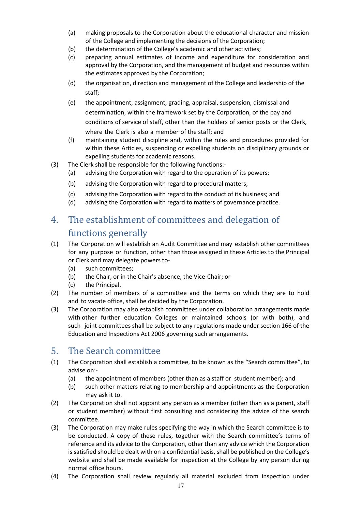- (a) making proposals to the Corporation about the educational character and mission of the College and implementing the decisions of the Corporation;
- (b) the determination of the College's academic and other activities;
- (c) preparing annual estimates of income and expenditure for consideration and approval by the Corporation, and the management of budget and resources within the estimates approved by the Corporation;
- (d) the organisation, direction and management of the College and leadership of the staff;
- (e) the appointment, assignment, grading, appraisal, suspension, dismissal and determination, within the framework set by the Corporation, of the pay and conditions of service of staff, other than the holders of senior posts or the Clerk, where the Clerk is also a member of the staff; and
- (f) maintaining student discipline and, within the rules and procedures provided for within these Articles, suspending or expelling students on disciplinary grounds or expelling students for academic reasons.
- (3) The Clerk shall be responsible for the following functions:-
	- (a) advising the Corporation with regard to the operation of its powers;
	- (b) advising the Corporation with regard to procedural matters;
	- (c) advising the Corporation with regard to the conduct of its business; and
	- (d) advising the Corporation with regard to matters of governance practice.

### 4. The establishment of committees and delegation of functions generally

- (1) The Corporation will establish an Audit Committee and may establish other committees for any purpose or function, other than those assigned in these Articles to the Principal or Clerk and may delegate powers to-
	- (a) such committees;
	- (b) the Chair, or in the Chair's absence, the Vice-Chair; or
	- (c) the Principal.
- (2) The number of members of a committee and the terms on which they are to hold and to vacate office, shall be decided by the Corporation.
- (3) The Corporation may also establish committees under collaboration arrangements made with other further education Colleges or maintained schools (or with both), and such joint committees shall be subject to any regulations made under section 166 of the Education and Inspections Act 2006 governing such arrangements.

#### 5. The Search committee

- (1) The Corporation shall establish a committee, to be known as the "Search committee", to advise on:-
	- (a) the appointment of members (other than as a staff or student member); and
	- (b) such other matters relating to membership and appointments as the Corporation may ask it to.
- (2) The Corporation shall not appoint any person as a member (other than as a parent, staff or student member) without first consulting and considering the advice of the search committee.
- (3) The Corporation may make rules specifying the way in which the Search committee is to be conducted. A copy of these rules, together with the Search committee's terms of reference and its advice to the Corporation, other than any advice which the Corporation is satisfied should be dealt with on a confidential basis, shall be published on the College's website and shall be made available for inspection at the College by any person during normal office hours.
- (4) The Corporation shall review regularly all material excluded from inspection under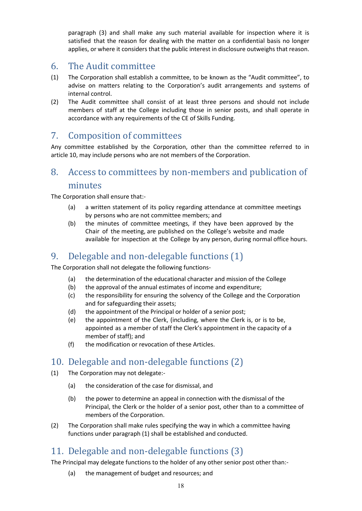paragraph (3) and shall make any such material available for inspection where it is satisfied that the reason for dealing with the matter on a confidential basis no longer applies, or where it considers that the public interest in disclosure outweighs that reason.

# 6. The Audit committee<br>(1) The Corporation shall establish

- The Corporation shall establish a committee, to be known as the "Audit committee", to advise on matters relating to the Corporation's audit arrangements and systems of internal control.
- (2) The Audit committee shall consist of at least three persons and should not include members of staff at the College including those in senior posts, and shall operate in accordance with any requirements of the CE of Skills Funding.

#### 7. Composition of committees

Any committee established by the Corporation, other than the committee referred to in article 10, may include persons who are not members of the Corporation.

### 8. Access to committees by non-members and publication of minutes

The Corporation shall ensure that:-

- (a) a written statement of its policy regarding attendance at committee meetings by persons who are not committee members; and
- (b) the minutes of committee meetings, if they have been approved by the Chair of the meeting, are published on the College's website and made available for inspection at the College by any person, during normal office hours.

### 9. Delegable and non-delegable functions (1)

The Corporation shall not delegate the following functions-

- (a) the determination of the educational character and mission of the College
- (b) the approval of the annual estimates of income and expenditure;
- (c) the responsibility for ensuring the solvency of the College and the Corporation and for safeguarding their assets;
- (d) the appointment of the Principal or holder of a senior post;
- (e) the appointment of the Clerk, (including, where the Clerk is, or is to be, appointed as a member of staff the Clerk's appointment in the capacity of a member of staff); and
- (f) the modification or revocation of these Articles.

#### 10. Delegable and non-delegable functions (2)

- (1) The Corporation may not delegate:-
	- (a) the consideration of the case for dismissal, and
	- (b) the power to determine an appeal in connection with the dismissal of the Principal, the Clerk or the holder of a senior post, other than to a committee of members of the Corporation.
- (2) The Corporation shall make rules specifying the way in which a committee having functions under paragraph (1) shall be established and conducted.

### 11. Delegable and non-delegable functions (3)

The Principal may delegate functions to the holder of any other senior post other than:-

(a) the management of budget and resources; and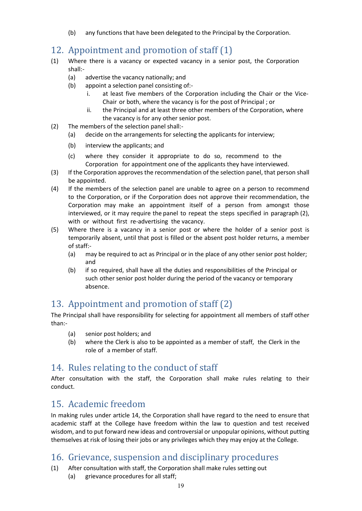(b) any functions that have been delegated to the Principal by the Corporation.

# 12. Appointment and promotion of staff  $(1)$ <br>(1) Where there is a vacancy or expected vacancy in a senio

- Where there is a vacancy or expected vacancy in a senior post, the Corporation shall:-
	- (a) advertise the vacancy nationally; and
	- (b) appoint a selection panel consisting of:
		- i. at least five members of the Corporation including the Chair or the Vice-Chair or both, where the vacancy is for the post of Principal ; or
		- ii. the Principal and at least three other members of the Corporation, where the vacancy is for any other senior post.
- (2) The members of the selection panel shall:-
	- (a) decide on the arrangements for selecting the applicants for interview;
	- (b) interview the applicants; and
	- (c) where they consider it appropriate to do so, recommend to the Corporation for appointment one of the applicants they have interviewed.
- (3) If the Corporation approves the recommendation of the selection panel, that person shall be appointed.
- (4) If the members of the selection panel are unable to agree on a person to recommend to the Corporation, or if the Corporation does not approve their recommendation, the Corporation may make an appointment itself of a person from amongst those interviewed, or it may require the panel to repeat the steps specified in paragraph (2), with or without first re-advertising the vacancy.
- (5) Where there is a vacancy in a senior post or where the holder of a senior post is temporarily absent, until that post is filled or the absent post holder returns, a member of staff:-
	- (a) may be required to act as Principal or in the place of any other senior post holder; and
	- (b) if so required, shall have all the duties and responsibilities of the Principal or such other senior post holder during the period of the vacancy or temporary absence.

### 13. Appointment and promotion of staff (2)

The Principal shall have responsibility for selecting for appointment all members of staff other than:-

- (a) senior post holders; and
- (b) where the Clerk is also to be appointed as a member of staff, the Clerk in the role of a member of staff.

#### 14. Rules relating to the conduct of staff

After consultation with the staff, the Corporation shall make rules relating to their conduct.

#### 15. Academic freedom

In making rules under article 14, the Corporation shall have regard to the need to ensure that academic staff at the College have freedom within the law to question and test received wisdom, and to put forward new ideas and controversial or unpopular opinions, without putting themselves at risk of losing their jobs or any privileges which they may enjoy at the College.

#### 16. Grievance, suspension and disciplinary procedures

- (1) After consultation with staff, the Corporation shall make rules setting out
	- (a) grievance procedures for all staff;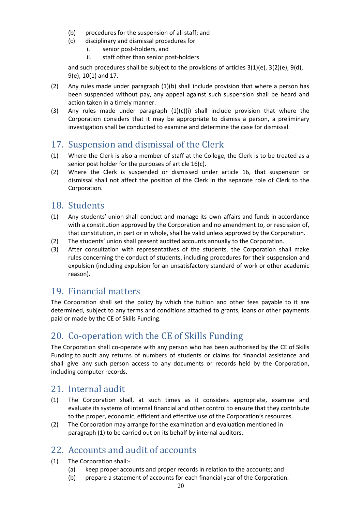- (b) procedures for the suspension of all staff; and
- (c) disciplinary and dismissal procedures for
	- i. senior post-holders, and
	- ii. staff other than senior post-holders

and such procedures shall be subject to the provisions of articles 3(1)(e), 3(2)(e), 9(d), 9(e), 10(1) and 17.

- (2) Any rules made under paragraph (1)(b) shall include provision that where a person has been suspended without pay, any appeal against such suspension shall be heard and action taken in a timely manner.
- (3) Any rules made under paragraph  $(1)(c)(i)$  shall include provision that where the Corporation considers that it may be appropriate to dismiss a person, a preliminary investigation shall be conducted to examine and determine the case for dismissal.

# 17. Suspension and dismissal of the Clerk<br>(1) Where the Clerk is also a member of staff at the College

- Where the Clerk is also a member of staff at the College, the Clerk is to be treated as a senior post holder for the purposes of article 16(c).
- (2) Where the Clerk is suspended or dismissed under article 16, that suspension or dismissal shall not affect the position of the Clerk in the separate role of Clerk to the Corporation.

#### 18. Students

- (1) Any students' union shall conduct and manage its own affairs and funds in accordance with a constitution approved by the Corporation and no amendment to, or rescission of, that constitution, in part or in whole, shall be valid unless approved by the Corporation.
- (2) The students' union shall present audited accounts annually to the Corporation.
- (3) After consultation with representatives of the students, the Corporation shall make rules concerning the conduct of students, including procedures for their suspension and expulsion (including expulsion for an unsatisfactory standard of work or other academic reason).

#### 19. Financial matters

The Corporation shall set the policy by which the tuition and other fees payable to it are determined, subject to any terms and conditions attached to grants, loans or other payments paid or made by the CE of Skills Funding.

### 20. Co-operation with the CE of Skills Funding

The Corporation shall co-operate with any person who has been authorised by the CE of Skills Funding to audit any returns of numbers of students or claims for financial assistance and shall give any such person access to any documents or records held by the Corporation, including computer records.

#### 21. Internal audit

- (1) The Corporation shall, at such times as it considers appropriate, examine and evaluate its systems of internal financial and other control to ensure that they contribute to the proper, economic, efficient and effective use of the Corporation's resources.
- (2) The Corporation may arrange for the examination and evaluation mentioned in paragraph (1) to be carried out on its behalf by internal auditors.

#### 22. Accounts and audit of accounts

- (1) The Corporation shall:-
	- (a) keep proper accounts and proper records in relation to the accounts; and
	- (b) prepare a statement of accounts for each financial year of the Corporation.